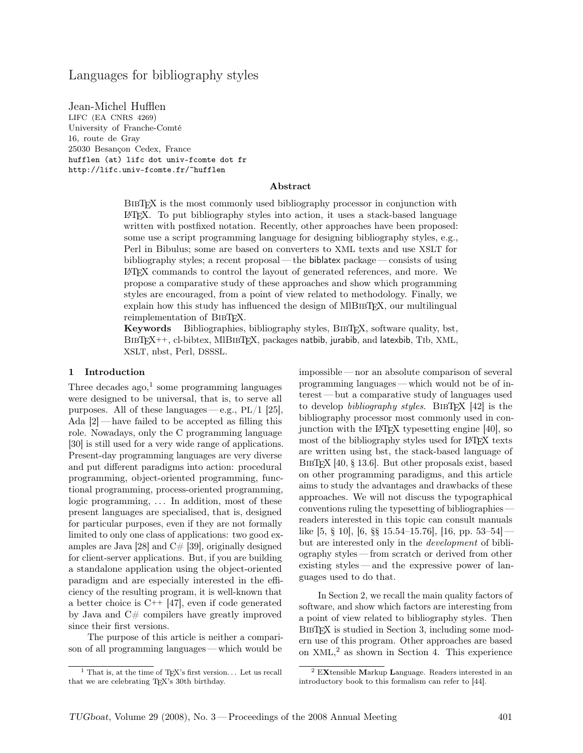# Languages for bibliography styles

Jean-Michel Hufflen LIFC (EA CNRS 4269) University of Franche-Comté 16, route de Gray 25030 Besançon Cedex, France hufflen (at) lifc dot univ-fcomte dot fr http://lifc.univ-fcomte.fr/~hufflen

#### Abstract

BIBTEX is the most commonly used bibliography processor in conjunction with LATEX. To put bibliography styles into action, it uses a stack-based language written with postfixed notation. Recently, other approaches have been proposed: some use a script programming language for designing bibliography styles, e.g., Perl in Bibulus; some are based on converters to XML texts and use XSLT for bibliography styles; a recent proposal— the biblatex package— consists of using LATEX commands to control the layout of generated references, and more. We propose a comparative study of these approaches and show which programming styles are encouraged, from a point of view related to methodology. Finally, we explain how this study has influenced the design of MIBIBTEX, our multilingual reimplementation of BIBT<sub>EX</sub>.

Keywords Bibliographies, bibliography styles, BibTEX, software quality, bst, BibTEX++, cl-bibtex, MlBibTEX, packages natbib, jurabib, and latexbib, Tib, XML, XSLT, nbst, Perl, DSSSL.

### 1 Introduction

Three decades  $ago, 1$  some programming languages were designed to be universal, that is, to serve all purposes. All of these languages—e.g.,  $PL/1$  [25], Ada  $[2]$ — have failed to be accepted as filling this role. Nowadays, only the C programming language [30] is still used for a very wide range of applications. Present-day programming languages are very diverse and put different paradigms into action: procedural programming, object-oriented programming, functional programming, process-oriented programming, logic programming, ... In addition, most of these present languages are specialised, that is, designed for particular purposes, even if they are not formally limited to only one class of applications: two good examples are Java [28] and  $C#$  [39], originally designed for client-server applications. But, if you are building a standalone application using the object-oriented paradigm and are especially interested in the efficiency of the resulting program, it is well-known that a better choice is  $C^{++}$  [47], even if code generated by Java and C# compilers have greatly improved since their first versions.

The purpose of this article is neither a comparison of all programming languages — which would be

impossible— nor an absolute comparison of several programming languages — which would not be of interest — but a comparative study of languages used to develop *bibliography styles*. BIBT<sub>E</sub>X [42] is the bibliography processor most commonly used in conjunction with the LATEX typesetting engine [40], so most of the bibliography styles used for LAT<sub>EX</sub> texts are written using bst, the stack-based language of BIBTEX [40, § 13.6]. But other proposals exist, based on other programming paradigms, and this article aims to study the advantages and drawbacks of these approaches. We will not discuss the typographical conventions ruling the typesetting of bibliographies readers interested in this topic can consult manuals like  $[5, \S 10]$ ,  $[6, \S \S 15.54-15.76]$ ,  $[16, pp. 53-54]$ but are interested only in the development of bibliography styles — from scratch or derived from other existing styles— and the expressive power of languages used to do that.

In Section 2, we recall the main quality factors of software, and show which factors are interesting from a point of view related to bibliography styles. Then BIBT<sub>EX</sub> is studied in Section 3, including some modern use of this program. Other approaches are based on XML, <sup>2</sup> as shown in Section 4. This experience

<sup>&</sup>lt;sup>1</sup> That is, at the time of TEX's first version... Let us recall that we are celebrating TEX's 30th birthday.

<sup>2</sup> EXtensible Markup Language. Readers interested in an introductory book to this formalism can refer to [44].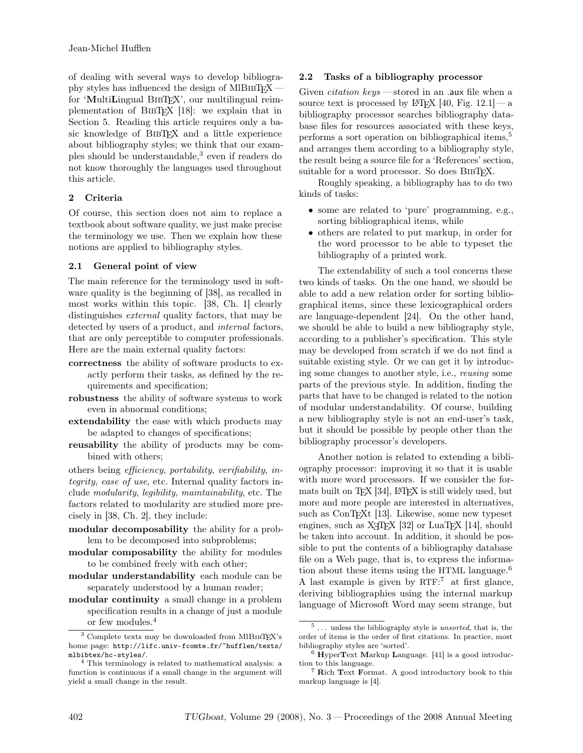of dealing with several ways to develop bibliography styles has influenced the design of MIBIBTEX for 'MultiLingual BibTEX', our multilingual reimplementation of BibTEX [18]: we explain that in Section 5. Reading this article requires only a basic knowledge of BibTEX and a little experience about bibliography styles; we think that our examples should be understandable,<sup>3</sup> even if readers do not know thoroughly the languages used throughout this article.

## 2 Criteria

Of course, this section does not aim to replace a textbook about software quality, we just make precise the terminology we use. Then we explain how these notions are applied to bibliography styles.

## 2.1 General point of view

The main reference for the terminology used in software quality is the beginning of [38], as recalled in most works within this topic. [38, Ch. 1] clearly distinguishes *external* quality factors, that may be detected by users of a product, and *internal* factors, that are only perceptible to computer professionals. Here are the main external quality factors:

- correctness the ability of software products to exactly perform their tasks, as defined by the requirements and specification;
- robustness the ability of software systems to work even in abnormal conditions;
- extendability the ease with which products may be adapted to changes of specifications;
- reusability the ability of products may be combined with others;

others being efficiency, portability, verifiability, integrity, ease of use, etc. Internal quality factors include modularity, legibility, maintainability, etc. The factors related to modularity are studied more precisely in [38, Ch. 2], they include:

- modular decomposability the ability for a problem to be decomposed into subproblems;
- modular composability the ability for modules to be combined freely with each other;
- modular understandability each module can be separately understood by a human reader;
- modular continuity a small change in a problem specification results in a change of just a module or few modules.<sup>4</sup>

## 2.2 Tasks of a bibliography processor

Given *citation keys* — stored in an .aux file when a source text is processed by LAT<sub>EX</sub> [40, Fig. 12.1] — a bibliography processor searches bibliography database files for resources associated with these keys, performs a sort operation on bibliographical items,<sup>5</sup> and arranges them according to a bibliography style, the result being a source file for a 'References' section, suitable for a word processor. So does BIBTEX.

Roughly speaking, a bibliography has to do two kinds of tasks:

- some are related to 'pure' programming, e.g., sorting bibliographical items, while
- others are related to put markup, in order for the word processor to be able to typeset the bibliography of a printed work.

The extendability of such a tool concerns these two kinds of tasks. On the one hand, we should be able to add a new relation order for sorting bibliographical items, since these lexicographical orders are language-dependent [24]. On the other hand, we should be able to build a new bibliography style, according to a publisher's specification. This style may be developed from scratch if we do not find a suitable existing style. Or we can get it by introducing some changes to another style, i.e., reusing some parts of the previous style. In addition, finding the parts that have to be changed is related to the notion of modular understandability. Of course, building a new bibliography style is not an end-user's task, but it should be possible by people other than the bibliography processor's developers.

Another notion is related to extending a bibliography processor: improving it so that it is usable with more word processors. If we consider the formats built on T<sub>E</sub>X [34], LAT<sub>E</sub>X is still widely used, but more and more people are interested in alternatives, such as ConTEXt [13]. Likewise, some new typeset engines, such as  $X \times TEX$  [32] or LuaTEX [14], should be taken into account. In addition, it should be possible to put the contents of a bibliography database file on a Web page, that is, to express the information about these items using the HTML language.<sup>6</sup> A last example is given by RTF: <sup>7</sup> at first glance, deriving bibliographies using the internal markup language of Microsoft Word may seem strange, but

 $^3$  Complete texts may be downloaded from  $\text{MIBi5T} \Sigma \text{'s}$ home page: http://lifc.univ-fcomte.fr/~hufflen/texts/ mlbibtex/hc-styles/.

<sup>4</sup> This terminology is related to mathematical analysis: a function is continuous if a small change in the argument will yield a small change in the result.

 $5...$  unless the bibliography style is *unsorted*, that is, the order of items is the order of first citations. In practice, most bibliography styles are 'sorted'.

 $6$  HyperText Markup Language. [41] is a good introduction to this language.

<sup>7</sup> Rich Text Format. A good introductory book to this markup language is [4].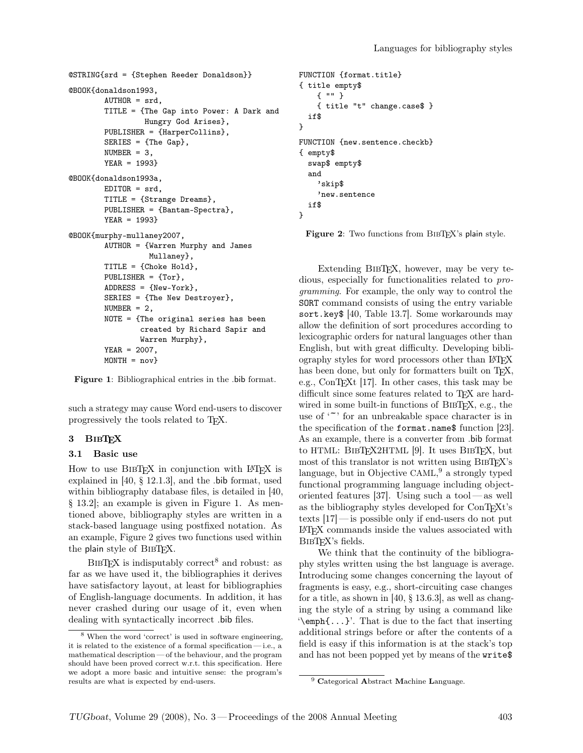```
@STRING{srd = {Stephen Reeder Donaldson}}
@BOOK{donaldson1993,
        AUTHOR = srd,TITLE = {The Gap into Power: A Dark and
                 Hungry God Arises},
        PUBLISHER = {HarperCollins},
        SERIES = {The Gap},
        NUMBER = 3,
        YEAR = 1993}
@BOOK{donaldson1993a,
        EDITOR = srd,TITLE = {Strange Dreams},
        PUBLISHER = {Bantam-Spectra},
        YEAR = 1993}
@BOOK{murphy-mullaney2007,
        AUTHOR = {Warren Murphy and James
                  Mullaney},
        TITLE = {Choke Hold},
        PUBLISHER = {Tor},
        ADDRESS = {New-York},
        SERIES = {The New Destroyer},
        NUMBER = 2,
        NOTE = {The original series has been
                created by Richard Sapir and
                Warren Murphy},
        YEAR = 2007,
        MONTH = nov}
```
Figure 1: Bibliographical entries in the .bib format.

such a strategy may cause Word end-users to discover progressively the tools related to TEX.

## 3 BIBTFX

### 3.1 Basic use

How to use BIBTFX in conjunction with LATFX is explained in [40, § 12.1.3], and the .bib format, used within bibliography database files, is detailed in [40, § 13.2]; an example is given in Figure 1. As mentioned above, bibliography styles are written in a stack-based language using postfixed notation. As an example, Figure 2 gives two functions used within the plain style of BIBTFX.

 $BIBTFX$  is indisputably correct<sup>8</sup> and robust: as far as we have used it, the bibliographies it derives have satisfactory layout, at least for bibliographies of English-language documents. In addition, it has never crashed during our usage of it, even when dealing with syntactically incorrect .bib files.

```
FUNCTION {format.title}
{ title empty$
    { "" }
    { title "t" change.case$ }
  if$
}
FUNCTION {new.sentence.checkb}
{ empty$
  swap$ empty$
  and
    'skip$
    'new.sentence
  if$
}
```
Figure 2: Two functions from BIBTEX's plain style.

Extending BibTEX, however, may be very tedious, especially for functionalities related to programming. For example, the only way to control the SORT command consists of using the entry variable sort.key\$ [40, Table 13.7]. Some workarounds may allow the definition of sort procedures according to lexicographic orders for natural languages other than English, but with great difficulty. Developing bibliography styles for word processors other than LATEX has been done, but only for formatters built on TFX, e.g., ConT<sub>E</sub>X<sup>t</sup> [17]. In other cases, this task may be difficult since some features related to TFX are hardwired in some built-in functions of BIBT<sub>E</sub>X, e.g., the use of  $\zeta$  for an unbreakable space character is in the specification of the format.name\$ function [23]. As an example, there is a converter from .bib format to HTML: BIBTFX2HTML [9]. It uses BIBTFX, but most of this translator is not written using BIBT<sub>EX</sub>'s language, but in Objective CAML, <sup>9</sup> a strongly typed functional programming language including objectoriented features [37]. Using such a tool— as well as the bibliography styles developed for ConTEXt's texts [17]— is possible only if end-users do not put LATEX commands inside the values associated with BIBT<sub>F</sub>X's fields.

We think that the continuity of the bibliography styles written using the bst language is average. Introducing some changes concerning the layout of fragments is easy, e.g., short-circuiting case changes for a title, as shown in [40, § 13.6.3], as well as changing the style of a string by using a command like '\emph{...}'. That is due to the fact that inserting additional strings before or after the contents of a field is easy if this information is at the stack's top and has not been popped yet by means of the write\$

<sup>8</sup> When the word 'correct' is used in software engineering, it is related to the existence of a formal specification — i.e., a mathematical description — of the behaviour, and the program should have been proved correct w.r.t. this specification. Here we adopt a more basic and intuitive sense: the program's results are what is expected by end-users.

<sup>&</sup>lt;sup>9</sup> Categorical Abstract Machine Language.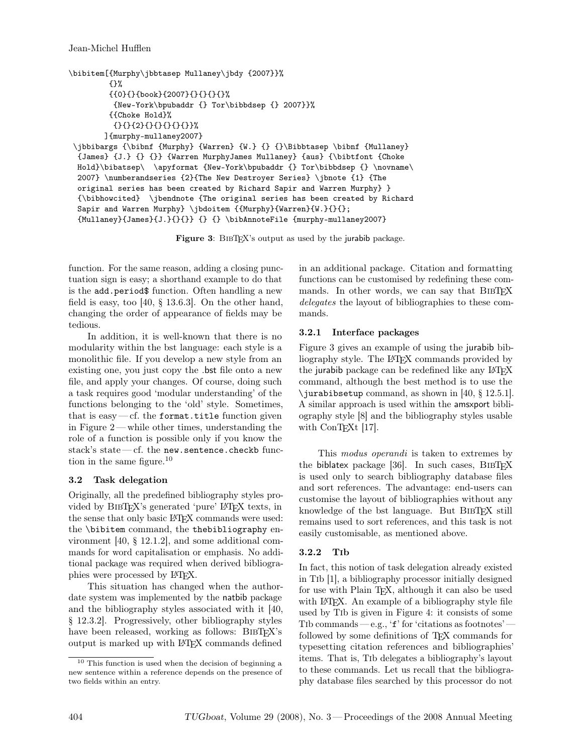```
\bibitem[{Murphy\jbbtasep Mullaney\jbdy {2007}}%
         {}%
         {{0}{}{book}{2007}{}{}{}{}%
          {New-York\bpubaddr {} Tor\bibbdsep {} 2007}}%
         {{Choke Hold}%
          {}{}{2}{}{}{}{}{}}%
        ]{murphy-mullaney2007}
 \jbbibargs {\bibnf {Murphy} {Warren} {W.} {} {}\Bibbtasep \bibnf {Mullaney}
  {James} {J.} {} {}} {Warren MurphyJames Mullaney} {aus} {\bibtfont {Choke
 Hold}\bibatsep\ \apyformat {New-York\bpubaddr {} Tor\bibbdsep {} \novname\
  2007} \numberandseries {2}{The New Destroyer Series} \jbnote {1} {The
  original series has been created by Richard Sapir and Warren Murphy} }
  {\bibhowcited} \jbendnote {The original series has been created by Richard
  Sapir and Warren Murphy} \jbdoitem {{Murphy}{Warren}{W.}{}{};
  {Mullaney}{James}{J.}{}{}} {} {} \bibAnnoteFile {murphy-mullaney2007}
```
Figure 3: BIBT<sub>EX</sub>'s output as used by the jurabib package.

function. For the same reason, adding a closing punctuation sign is easy; a shorthand example to do that is the add.period\$ function. Often handling a new field is easy, too  $[40, § 13.6.3]$ . On the other hand, changing the order of appearance of fields may be tedious.

In addition, it is well-known that there is no modularity within the bst language: each style is a monolithic file. If you develop a new style from an existing one, you just copy the .bst file onto a new file, and apply your changes. Of course, doing such a task requires good 'modular understanding' of the functions belonging to the 'old' style. Sometimes, that is easy  $-$  cf. the format.title function given in Figure 2— while other times, understanding the role of a function is possible only if you know the stack's state— cf. the new.sentence.checkb function in the same figure. $10$ 

## 3.2 Task delegation

Originally, all the predefined bibliography styles provided by BibTEX's generated 'pure' LATEX texts, in the sense that only basic LATEX commands were used: the \bibitem command, the thebibliography environment [40, § 12.1.2], and some additional commands for word capitalisation or emphasis. No additional package was required when derived bibliographies were processed by LATEX.

This situation has changed when the authordate system was implemented by the natbib package and the bibliography styles associated with it [40, § 12.3.2]. Progressively, other bibliography styles have been released, working as follows: BIBTFX's output is marked up with LATEX commands defined

in an additional package. Citation and formatting functions can be customised by redefining these commands. In other words, we can say that BIBT<sub>EX</sub> delegates the layout of bibliographies to these commands.

# 3.2.1 Interface packages

Figure 3 gives an example of using the jurabib bibliography style. The L<sup>A</sup>TEX commands provided by the jurabib package can be redefined like any LATEX command, although the best method is to use the \jurabibsetup command, as shown in [40,  $\S$  12.5.1]. A similar approach is used within the amsxport bibliography style [8] and the bibliography styles usable with ConTEXt [17].

This *modus operandi* is taken to extremes by the biblatex package [36]. In such cases, BIBTEX is used only to search bibliography database files and sort references. The advantage: end-users can customise the layout of bibliographies without any knowledge of the bst language. But BibTEX still remains used to sort references, and this task is not easily customisable, as mentioned above.

# 3.2.2 Tib

In fact, this notion of task delegation already existed in Tib [1], a bibliography processor initially designed for use with Plain T<sub>E</sub>X, although it can also be used with L<sup>A</sup>T<sub>E</sub>X. An example of a bibliography style file used by Tib is given in Figure 4: it consists of some Tib commands — e.g., ' $f'$  for 'citations as footnotes' followed by some definitions of TEX commands for typesetting citation references and bibliographies' items. That is, Tib delegates a bibliography's layout to these commands. Let us recall that the bibliography database files searched by this processor do not

<sup>10</sup> This function is used when the decision of beginning a new sentence within a reference depends on the presence of two fields within an entry.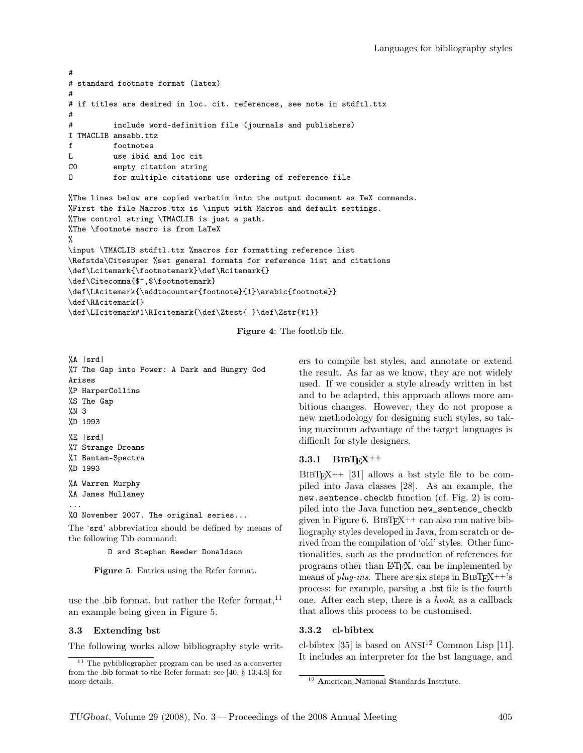```
#
# standard footnote format (latex)
#
# if titles are desired in loc. cit. references, see note in stdftl.ttx
#
# include word-definition file (journals and publishers)
I TMACLIB amsabb.ttz
f footnotes
L use ibid and loc cit<br>CO empty citation string
          empty citation string
O for multiple citations use ordering of reference file
%The lines below are copied verbatim into the output document as TeX commands.
%First the file Macros.ttx is \input with Macros and default settings.
%The control string \TMACLIB is just a path.
%The \footnote macro is from LaTeX
%
\input \TMACLIB stdftl.ttx %macros for formatting reference list
\Refstda\Citesuper %set general formats for reference list and citations
\def\Lcitemark{\footnotemark}\def\Rcitemark{}
\def\Citecomma{$^,$\footnotemark}
\def\LAcitemark{\addtocounter{footnote}{1}\arabic{footnote}}
\def\RAcitemark{}
\label{thm:main} $$\def\LICitemark#1\RICitemark{\def\Ztest{ }\def\Zstr{#1}}$$
```
Figure 4: The footl.tib file.

%A |srd| %T The Gap into Power: A Dark and Hungry God Arises %P HarperCollins %S The Gap %N 3 %D 1993 %E |srd| %T Strange Dreams %I Bantam-Spectra %D 1993 %A Warren Murphy %A James Mullaney ... %O November 2007. The original series... The 'srd' abbreviation should be defined by means of

the following Tib command:

D srd Stephen Reeder Donaldson

Figure 5: Entries using the Refer format.

use the .bib format, but rather the Refer format, $^{11}$ an example being given in Figure 5.

### 3.3 Extending bst

The following works allow bibliography style writ-

ers to compile bst styles, and annotate or extend the result. As far as we know, they are not widely used. If we consider a style already written in bst and to be adapted, this approach allows more ambitious changes. However, they do not propose a new methodology for designing such styles, so taking maximum advantage of the target languages is difficult for style designers.

### 3.3.1 BIBT $FX$ <sup>++</sup>

 $BIBTFX++$  [31] allows a bst style file to be compiled into Java classes [28]. As an example, the new.sentence.checkb function (cf. Fig. 2) is compiled into the Java function new\_sentence\_checkb given in Figure 6. BIBT $FX$ ++ can also run native bibliography styles developed in Java, from scratch or derived from the compilation of 'old' styles. Other functionalities, such as the production of references for programs other than LATEX, can be implemented by means of *plug-ins*. There are six steps in  $BIBTFX++s$ process: for example, parsing a .bst file is the fourth one. After each step, there is a hook, as a callback that allows this process to be customised.

#### 3.3.2 cl-bibtex

cl-bibtex [35] is based on  $ANSI<sup>12</sup>$  Common Lisp [11]. It includes an interpreter for the bst language, and

<sup>11</sup> The pybibliographer program can be used as a converter from the .bib format to the Refer format: see [40, § 13.4.5] for more details.

<sup>12</sup> American National Standards Institute.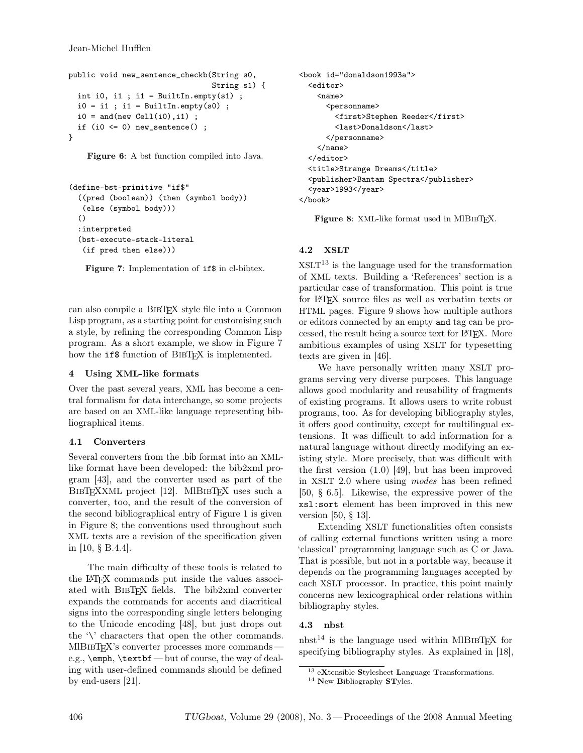```
public void new_sentence_checkb(String s0,
                                  String s1) {
  int i0, i1 ; i1 = BuiltIn.empty(s1) ;
  i0 = i1; i1 = \text{BuildIn. empty(s0)};
  i0 = and(new Cell(i0), i1) ;
  if (i0 \leq 0) new_sentence();
}
```
Figure 6: A bst function compiled into Java.

```
(define-bst-primitive "if$"
  ((pred (boolean)) (then (symbol body))
  (else (symbol body)))
  ()
  :interpreted
  (bst-execute-stack-literal
   (if pred then else)))
```
Figure 7: Implementation of if\$ in cl-bibtex.

can also compile a BibTEX style file into a Common Lisp program, as a starting point for customising such a style, by refining the corresponding Common Lisp program. As a short example, we show in Figure 7 how the **if\$** function of BIBT<sub>E</sub>X is implemented.

## 4 Using XML-like formats

Over the past several years, XML has become a central formalism for data interchange, so some projects are based on an XML-like language representing bibliographical items.

# 4.1 Converters

Several converters from the .bib format into an XMLlike format have been developed: the bib2xml program [43], and the converter used as part of the BIBTEXXML project [12]. MIBIBTEX uses such a converter, too, and the result of the conversion of the second bibliographical entry of Figure 1 is given in Figure 8; the conventions used throughout such XML texts are a revision of the specification given in [10, § B.4.4].

The main difficulty of these tools is related to the LATEX commands put inside the values associated with BibTEX fields. The bib2xml converter expands the commands for accents and diacritical signs into the corresponding single letters belonging to the Unicode encoding [48], but just drops out the '\' characters that open the other commands. MIBIBT<sub>EX</sub>'s converter processes more commands– e.g., \emph, \textbf — but of course, the way of dealing with user-defined commands should be defined by end-users [21].

```
<book id="donaldson1993a">
  <editor>
    <sub>name</sub></sub>
      <personname>
         <first>Stephen Reeder</first>
         <last>Donaldson</last>
      </personname>
    \langle/name\rangle</editor>
  <title>Strange Dreams</title>
  <publisher>Bantam Spectra</publisher>
  <year>1993</year>
</book>
```
Figure 8: XML-like format used in MIBIBTEX.

# 4.2 XSLT

 $XSLT<sup>13</sup>$  is the language used for the transformation of XML texts. Building a 'References' section is a particular case of transformation. This point is true for LATEX source files as well as verbatim texts or HTML pages. Figure 9 shows how multiple authors or editors connected by an empty and tag can be processed, the result being a source text for LATEX. More ambitious examples of using XSLT for typesetting texts are given in [46].

We have personally written many XSLT programs serving very diverse purposes. This language allows good modularity and reusability of fragments of existing programs. It allows users to write robust programs, too. As for developing bibliography styles, it offers good continuity, except for multilingual extensions. It was difficult to add information for a natural language without directly modifying an existing style. More precisely, that was difficult with the first version (1.0) [49], but has been improved in XSLT 2.0 where using modes has been refined [50, § 6.5]. Likewise, the expressive power of the xsl:sort element has been improved in this new version [50, § 13].

Extending XSLT functionalities often consists of calling external functions written using a more 'classical' programming language such as C or Java. That is possible, but not in a portable way, because it depends on the programming languages accepted by each XSLT processor. In practice, this point mainly concerns new lexicographical order relations within bibliography styles.

# 4.3 nbst

nbst<sup>14</sup> is the language used within MIBIBT<sub>EX</sub> for specifying bibliography styles. As explained in [18],

 $^{13}$  eXtensible Stylesheet Language Transformations.

 $14$  New Bibliography STyles.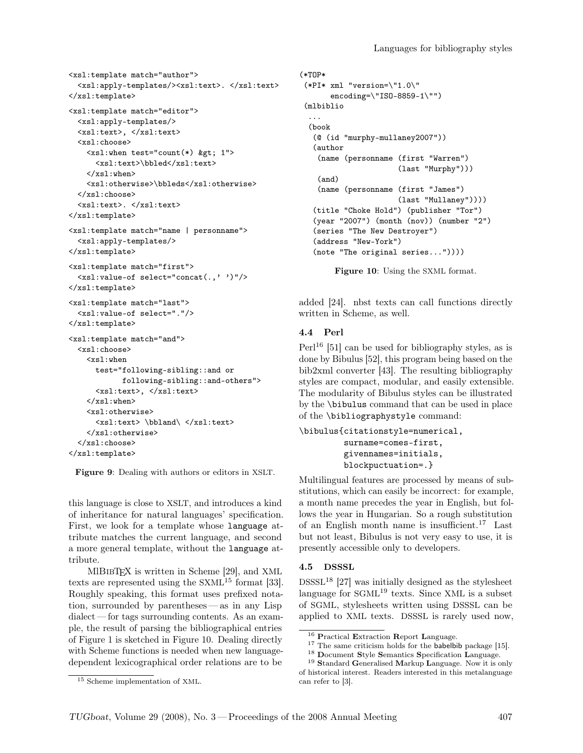```
<xsl:template match="author">
  <xsl:apply-templates/><xsl:text>. </xsl:text>
</xsl:template>
<xsl:template match="editor">
  <xsl:apply-templates/>
  <xsl:text>, </xsl:text>
  <xsl:choose>
    \langle xsl:when test="count(*) & gtt; 1" \rangle<xsl:text>\bbled</xsl:text>
    </xsl:when>
    <xsl:otherwise>\bbleds</xsl:otherwise>
  </xsl:choose>
  <xsl:text>. </xsl:text>
</xsl:template>
<xsl:template match="name | personname">
  <xsl:apply-templates/>
</xsl:template>
<xsl:template match="first">
  <xsl:value-of select="concat(.,' ')"/>
</xsl:template>
<xsl:template match="last">
  <xsl:value-of select="."/>
</xsl:template>
<xsl:template match="and">
  <xsl:choose>
    <xsl:when
      test="following-sibling::and or
            following-sibling::and-others">
      <xsl:text>, </xsl:text>
    \langle xsl:when\rangle<xsl:otherwise>
      <xsl:text> \bbland\ </xsl:text>
    </xsl:otherwise>
  </xsl:choose>
</xsl:template>
```
Figure 9: Dealing with authors or editors in XSLT.

this language is close to XSLT, and introduces a kind of inheritance for natural languages' specification. First, we look for a template whose language attribute matches the current language, and second a more general template, without the language attribute.

MIBIBT<sub>F</sub>X is written in Scheme [29], and XML texts are represented using the  $SXML^{15}$  format [33]. Roughly speaking, this format uses prefixed notation, surrounded by parentheses— as in any Lisp dialect — for tags surrounding contents. As an example, the result of parsing the bibliographical entries of Figure 1 is sketched in Figure 10. Dealing directly with Scheme functions is needed when new languagedependent lexicographical order relations are to be

```
(*TOP*
 (*PI* xml "version=\"1.0\"
       encoding=\"ISO-8859-1\"")
 (mlbiblio
  ...
  (book
   (@ (id "murphy-mullaney2007"))
   (author
    (name (personname (first "Warren")
                       (last "Murphy")))
    (and)
    (name (personname (first "James")
                      (last "Mullaney"))))
   (title "Choke Hold") (publisher "Tor")
   (year "2007") (month (nov)) (number "2")
   (series "The New Destroyer")
   (address "New-York")
   (note "The original series..."))))
```

```
Figure 10: Using the SXML format.
```
added [24]. nbst texts can call functions directly written in Scheme, as well.

## 4.4 Perl

 $Perl^{16}$  [51] can be used for bibliography styles, as is done by Bibulus [52], this program being based on the bib2xml converter [43]. The resulting bibliography styles are compact, modular, and easily extensible. The modularity of Bibulus styles can be illustrated by the \bibulus command that can be used in place of the \bibliographystyle command:

```
\bibulus{citationstyle=numerical,
         surname=comes-first,
         givennames=initials,
         blockpuctuation=.}
```
Multilingual features are processed by means of substitutions, which can easily be incorrect: for example, a month name precedes the year in English, but follows the year in Hungarian. So a rough substitution of an English month name is insufficient.<sup>17</sup> Last but not least, Bibulus is not very easy to use, it is presently accessible only to developers.

## 4.5 DSSSL

 $DSSSL<sup>18</sup>$  [27] was initially designed as the stylesheet language for  $SGML<sup>19</sup>$  texts. Since XML is a subset of SGML, stylesheets written using DSSSL can be applied to XML texts. DSSSL is rarely used now,

<sup>16</sup> Practical Extraction Report Language.

<sup>&</sup>lt;sup>17</sup> The same criticism holds for the **babelbib** package [15].

<sup>18</sup> Document Style Semantics Specification Language.

 $^{19}$  Standard Generalised Markup Language. Now it is only of historical interest. Readers interested in this metalanguage can refer to [3].

<sup>15</sup> Scheme implementation of XML.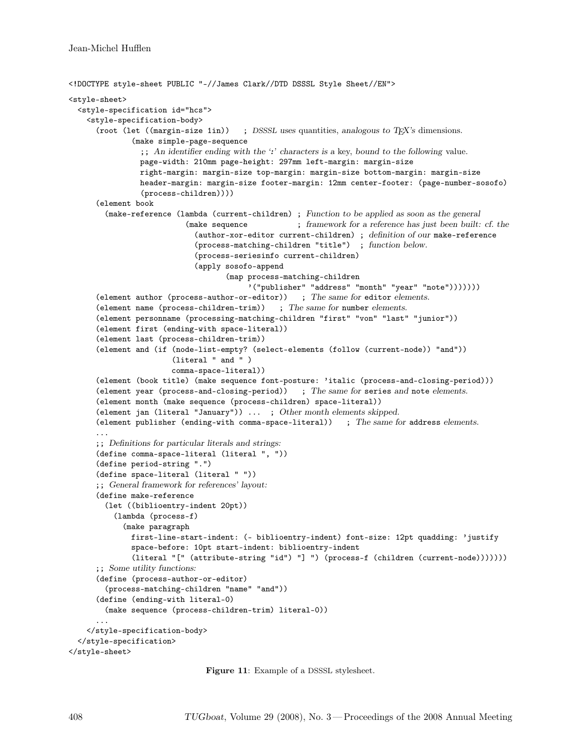```
<!DOCTYPE style-sheet PUBLIC "-//James Clark//DTD DSSSL Style Sheet//EN">
<style-sheet>
  <style-specification id="hcs">
    <style-specification-body>
      (root (let ((margin-size 1in)) ; DSSSL uses quantities, analogous to TEX's dimensions.
              (make simple-page-sequence
                ;; An identifier ending with the ':' characters is a key, bound to the following value.
                page-width: 210mm page-height: 297mm left-margin: margin-size
                right-margin: margin-size top-margin: margin-size bottom-margin: margin-size
                header-margin: margin-size footer-margin: 12mm center-footer: (page-number-sosofo)
                (process-children))))
      (element book
        (make-reference (lambda (current-children) ; Function to be applied as soon as the general
                           (make sequence ; framework for a reference has just been built: cf. the
                             (author-xor-editor current-children) ; definition of our make-reference
                             (process-matching-children "title") ; function below.
                             (process-seriesinfo current-children)
                             (apply sosofo-append
                                    (map process-matching-children
                                         '("publisher" "address" "month" "year" "note")))))))
      (element author (process-author-or-editor)) ; The same for editor elements.
      (element name (process-children-trim)) ; The same for number elements.
      (element personname (processing-matching-children "first" "von" "last" "junior"))
      (element first (ending-with space-literal))
      (element last (process-children-trim))
      (element and (if (node-list-empty? (select-elements (follow (current-node)) "and"))
                       (literal " and " )
                       comma-space-literal))
      (element (book title) (make sequence font-posture: 'italic (process-and-closing-period)))
      (element year (process-and-closing-period)) ; The same for series and note elements.
      (element month (make sequence (process-children) space-literal))
      (element jan (literal "January")) ... ; Other month elements skipped.
      (element publisher (ending-with comma-space-literal)) ; The same for address elements.
      ...
      ;; Definitions for particular literals and strings:
      (define comma-space-literal (literal ", "))
      (define period-string ".")
      (define space-literal (literal " "))
      ;; General framework for references' layout:
      (define make-reference
        (let ((biblioentry-indent 20pt))
          (lambda (process-f)
            (make paragraph
              first-line-start-indent: (- biblioentry-indent) font-size: 12pt quadding: 'justify
              space-before: 10pt start-indent: biblioentry-indent
              (literal "[" (attribute-string "id") "] ") (process-f (children (current-node)))))))
      ;; Some utility functions:
      (define (process-author-or-editor)
        (process-matching-children "name" "and"))
      (define (ending-with literal-0)
        (make sequence (process-children-trim) literal-0))
      ...
    </style-specification-body>
  </style-specification>
</style-sheet>
```
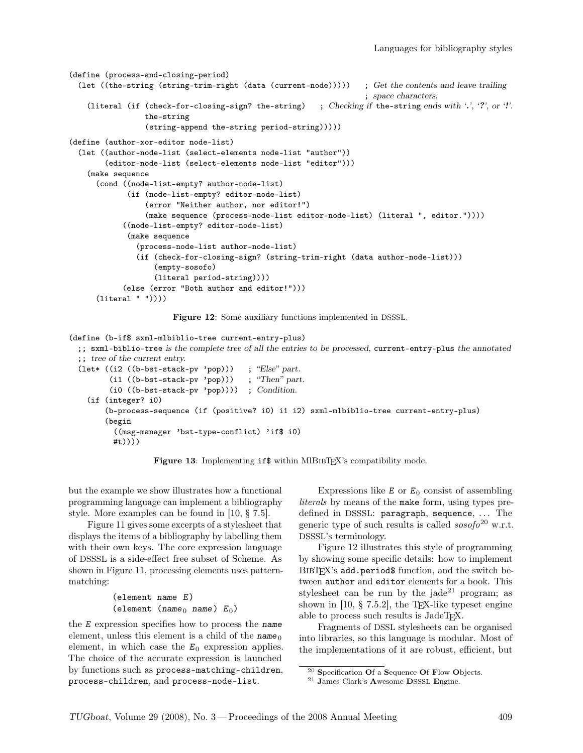```
(define (process-and-closing-period)
  (let ((the-string (string-trim-right (data (current-node))))) ; Get the contents and leave trailing
                                                                    ; space characters.
    (literal (if (check-for-closing-sign? the-string) ; Checking if the-string ends with '.', '?', or '!'.
                 the-string
                 (string-append the-string period-string)))))
(define (author-xor-editor node-list)
  (let ((author-node-list (select-elements node-list "author"))
        (editor-node-list (select-elements node-list "editor")))
    (make sequence
      (cond ((node-list-empty? author-node-list)
             (if (node-list-empty? editor-node-list)
                 (error "Neither author, nor editor!")
                 (make sequence (process-node-list editor-node-list) (literal ", editor."))))
            ((node-list-empty? editor-node-list)
             (make sequence
               (process-node-list author-node-list)
               (if (check-for-closing-sign? (string-trim-right (data author-node-list)))
                   (empty-sosofo)
                   (literal period-string))))
            (else (error "Both author and editor!")))
      (literal " "))))
```
Figure 12: Some auxiliary functions implemented in DSSSL.

```
(define (b-if$ sxml-mlbiblio-tree current-entry-plus)
  ;; sxml-biblio-tree is the complete tree of all the entries to be processed, current-entry-plus the annotated
  ;; tree of the current entry.
  (let* ((i2 ((b-bst-stack-pv 'pop))) ; "Else" part.<br>(i1 ((b-bst-stack-pv 'pop))) ; "Then" part.
          (i1 ((b-bst-stack-pv 'pop)))(i0 ((b-bst-stack-pv 'pop)))) ; Condition.
    (if (integer? i0)
         (b-process-sequence (if (positive? i0) i1 i2) sxml-mlbiblio-tree current-entry-plus)
         (begin
           ((msg-manager 'bst-type-conflict) 'if$ i0)
           #t))))
```
Figure 13: Implementing if \$ within MIBIBTFX's compatibility mode.

but the example we show illustrates how a functional programming language can implement a bibliography style. More examples can be found in [10, § 7.5].

Figure 11 gives some excerpts of a stylesheet that displays the items of a bibliography by labelling them with their own keys. The core expression language of DSSSL is a side-effect free subset of Scheme. As shown in Figure 11, processing elements uses patternmatching:

```
(element name E)
(element (name<sub>0</sub> name) E_0)
```
the E expression specifies how to process the name element, unless this element is a child of the  $name_0$ element, in which case the  $E_0$  expression applies. The choice of the accurate expression is launched by functions such as process-matching-children, process-children, and process-node-list.

Expressions like  $E$  or  $E_0$  consist of assembling literals by means of the make form, using types predefined in DSSSL: paragraph, sequence, ... The generic type of such results is called  $sosofo^{20}$  w.r.t. DSSSL's terminology.

Figure 12 illustrates this style of programming by showing some specific details: how to implement BibTEX's add.period\$ function, and the switch between author and editor elements for a book. This stylesheet can be run by the jade<sup>21</sup> program; as shown in [10,  $\S$  7.5.2], the T<sub>EX</sub>-like typeset engine able to process such results is JadeTEX.

Fragments of DSSL stylesheets can be organised into libraries, so this language is modular. Most of the implementations of it are robust, efficient, but

 $^{20}$  Specification Of a Sequence Of Flow Objects.

<sup>21</sup> James Clark's Awesome DSSSL Engine.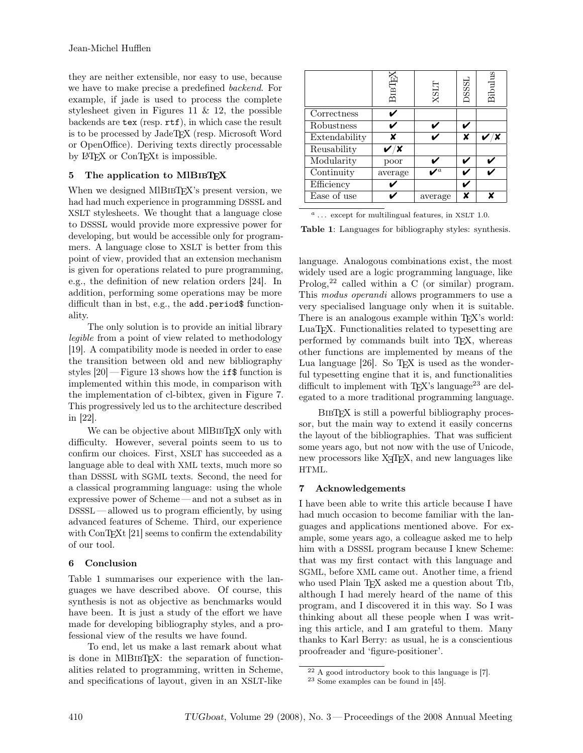they are neither extensible, nor easy to use, because we have to make precise a predefined backend. For example, if jade is used to process the complete stylesheet given in Figures 11 & 12, the possible backends are tex (resp. rtf), in which case the result is to be processed by JadeTEX (resp. Microsoft Word or OpenOffice). Deriving texts directly processable by LATEX or ConTEXt is impossible.

## 5 The application to MIBIBT<sub>EX</sub>

When we designed MIBIBT<sub>EX</sub>'s present version, we had had much experience in programming DSSSL and XSLT stylesheets. We thought that a language close to DSSSL would provide more expressive power for developing, but would be accessible only for programmers. A language close to XSLT is better from this point of view, provided that an extension mechanism is given for operations related to pure programming, e.g., the definition of new relation orders [24]. In addition, performing some operations may be more difficult than in bst, e.g., the add.period\$ functionality.

The only solution is to provide an initial library legible from a point of view related to methodology [19]. A compatibility mode is needed in order to ease the transition between old and new bibliography styles  $[20]$  — Figure 13 shows how the **if** \$ function is implemented within this mode, in comparison with the implementation of cl-bibtex, given in Figure 7. This progressively led us to the architecture described in [22].

We can be objective about MIBIBT<sub>EX</sub> only with difficulty. However, several points seem to us to confirm our choices. First, XSLT has succeeded as a language able to deal with XML texts, much more so than DSSSL with SGML texts. Second, the need for a classical programming language: using the whole expressive power of Scheme — and not a subset as in DSSSL — allowed us to program efficiently, by using advanced features of Scheme. Third, our experience with ConTEXt [21] seems to confirm the extendability of our tool.

# 6 Conclusion

Table 1 summarises our experience with the languages we have described above. Of course, this synthesis is not as objective as benchmarks would have been. It is just a study of the effort we have made for developing bibliography styles, and a professional view of the results we have found.

To end, let us make a last remark about what is done in MIBIBTEX: the separation of functionalities related to programming, written in Scheme, and specifications of layout, given in an XSLT-like

|                                | BIBIEY  | <b>XSLT</b> | <b>DSSSL</b> | Bibulus |
|--------------------------------|---------|-------------|--------------|---------|
| Correctness                    |         |             |              |         |
| Robustness                     |         |             |              |         |
| Extendability                  |         |             |              |         |
| Reusability                    |         |             |              |         |
| Modularity                     | poor    |             |              |         |
| $\overline{\text{Continuity}}$ | average |             |              |         |
| Efficiency                     |         |             |              |         |
| Ease of use                    |         | average     |              |         |

 $a$  ... except for multilingual features, in XSLT 1.0.

Table 1: Languages for bibliography styles: synthesis.

language. Analogous combinations exist, the most widely used are a logic programming language, like Prolog,<sup>22</sup> called within a C (or similar) program. This modus operandi allows programmers to use a very specialised language only when it is suitable. There is an analogous example within T<sub>E</sub>X's world: LuaTEX. Functionalities related to typesetting are performed by commands built into TEX, whereas other functions are implemented by means of the Lua language  $[26]$ . So T<sub>F</sub>X is used as the wonderful typesetting engine that it is, and functionalities difficult to implement with  $T_F X$ 's language<sup>23</sup> are delegated to a more traditional programming language.

BIBT<sub>EX</sub> is still a powerful bibliography processor, but the main way to extend it easily concerns the layout of the bibliographies. That was sufficient some years ago, but not now with the use of Unicode, new processors like X<sub>H</sub>T<sub>E</sub>X, and new languages like HTML.

## 7 Acknowledgements

I have been able to write this article because I have had much occasion to become familiar with the languages and applications mentioned above. For example, some years ago, a colleague asked me to help him with a DSSSL program because I knew Scheme: that was my first contact with this language and SGML, before XML came out. Another time, a friend who used Plain T<sub>F</sub>X asked me a question about T<sub>ib</sub>, although I had merely heard of the name of this program, and I discovered it in this way. So I was thinking about all these people when I was writing this article, and I am grateful to them. Many thanks to Karl Berry: as usual, he is a conscientious proofreader and 'figure-positioner'.

<sup>22</sup> A good introductory book to this language is [7].

<sup>23</sup> Some examples can be found in [45].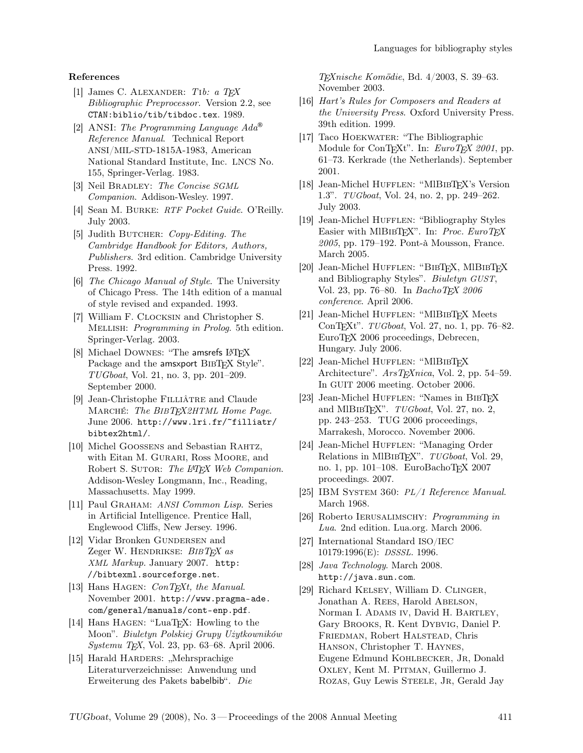### References

- [1] James C. ALEXANDER: Tib: a T<sub>F</sub>X Bibliographic Preprocessor. Version 2.2, see CTAN:biblio/tib/tibdoc.tex. 1989.
- [2] ANSI: The Programming Language  $Ada^{\circledR}$ Reference Manual. Technical Report ANSI/MIL-STD-1815A-1983, American National Standard Institute, Inc. LNCS No. 155, Springer-Verlag. 1983.
- [3] Neil BRADLEY: The Concise SGML Companion. Addison-Wesley. 1997.
- [4] Sean M. Burke: RTF Pocket Guide. O'Reilly. July 2003.
- [5] Judith BUTCHER: Copy-Editing. The Cambridge Handbook for Editors, Authors, Publishers. 3rd edition. Cambridge University Press. 1992.
- [6] The Chicago Manual of Style. The University of Chicago Press. The 14th edition of a manual of style revised and expanded. 1993.
- [7] William F. Clocksin and Christopher S. Mellish: Programming in Prolog. 5th edition. Springer-Verlag. 2003.
- [8] Michael DOWNES: "The amsrefs LATFX Package and the amsxport BIBT<sub>EX</sub> Style". TUGboat, Vol. 21, no. 3, pp. 201–209. September 2000.
- [9] Jean-Christophe Filliâtre and Claude Marché: The BIBTEX2HTML Home Page. June 2006. http://www.lri.fr/~filliatr/ bibtex2html/.
- [10] Michel Goossens and Sebastian Rahtz, with Eitan M. GURARI, Ross MOORE, and Robert S. SUTOR: The LAT<sub>F</sub>X Web Companion. Addison-Wesley Longmann, Inc., Reading, Massachusetts. May 1999.
- [11] Paul GRAHAM: ANSI Common Lisp. Series in Artificial Intelligence. Prentice Hall, Englewood Cliffs, New Jersey. 1996.
- [12] Vidar Bronken GUNDERSEN and Zeger W. HENDRIKSE:  $BIBTFX$  as XML Markup. January 2007. http: //bibtexml.sourceforge.net.
- [13] Hans HAGEN:  $ConT_FXt$ , the Manual. November 2001. http://www.pragma-ade. com/general/manuals/cont-enp.pdf.
- [14] Hans Hagen: "LuaTEX: Howling to the Moon". Biuletyn Polskiej Grupy Użytkowników Systemu TEX, Vol. 23, pp. 63–68. April 2006.
- [15] Harald HARDERS: "Mehrsprachige Literaturverzeichnisse: Anwendung und Erweiterung des Pakets babelbib". Die

TEXnische Komödie, Bd. 4/2003, S. 39–63. November 2003.

- [16] Hart's Rules for Composers and Readers at the University Press. Oxford University Press. 39th edition. 1999.
- [17] Taco HOEKWATER: "The Bibliographic Module for ConTEXt". In: EuroTEX 2001, pp. 61–73. Kerkrade (the Netherlands). September 2001.
- [18] Jean-Michel HUFFLEN: "MIBIBTFX's Version 1.3". TUGboat, Vol. 24, no. 2, pp. 249–262. July 2003.
- [19] Jean-Michel HUFFLEN: "Bibliography Styles Easier with MlBIBTEX". In: Proc. EuroTEX 2005, pp. 179–192. Pont-à Mousson, France. March 2005.
- [20] Jean-Michel HUFFLEN: "BIBTEX, MIBIBTEX and Bibliography Styles". Biuletyn GUST, Vol. 23, pp. 76–80. In  $Bacho TFX 2006$ conference. April 2006.
- [21] Jean-Michel HUFFLEN: "MlBIBTFX Meets ConTEXt". TUGboat, Vol. 27, no. 1, pp. 76–82. EuroTEX 2006 proceedings, Debrecen, Hungary. July 2006.
- [22] Jean-Michel HUFFLEN: "MlBIBTFX Architecture".  $ArsT_FXnica$ , Vol. 2, pp. 54–59. In GUIT 2006 meeting. October 2006.
- [23] Jean-Michel HUFFLEN: "Names in BIBTFX and MIBIBT<sub>F</sub>X". TUGboat, Vol. 27, no. 2, pp. 243–253. TUG 2006 proceedings, Marrakesh, Morocco. November 2006.
- [24] Jean-Michel HUFFLEN: "Managing Order Relations in MIBIBT<sub>EX</sub>". TUGboat, Vol. 29, no. 1, pp. 101–108. EuroBachoTFX 2007 proceedings. 2007.
- [25] IBM SYSTEM 360: PL/1 Reference Manual. March 1968.
- [26] Roberto Ierusalimschy: Programming in Lua. 2nd edition. Lua.org. March 2006.
- [27] International Standard ISO/IEC 10179:1996(E): DSSSL. 1996.
- [28] Java Technology. March 2008. http://java.sun.com.
- [29] Richard Kelsey, William D. Clinger, Jonathan A. REES, Harold ABELSON, Norman I. ADAMS IV, David H. BARTLEY, Gary Brooks, R. Kent Dybvig, Daniel P. Friedman, Robert Halstead, Chris Hanson, Christopher T. Haynes, Eugene Edmund KOHLBECKER, JR, Donald Oxley, Kent M. Pitman, Guillermo J. Rozas, Guy Lewis Steele, Jr, Gerald Jay